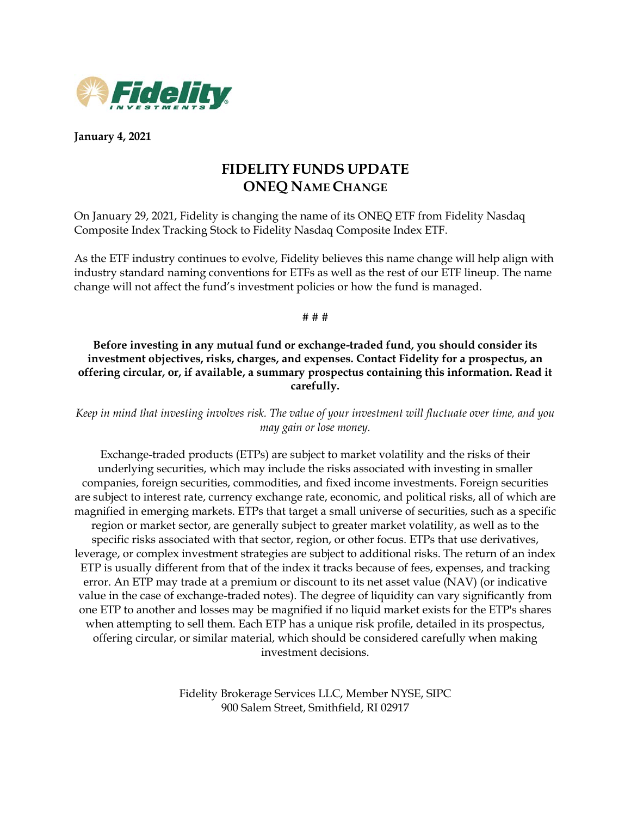

**January 4, 2021**

## **FIDELITY FUNDS UPDATE ONEQ NAME CHANGE**

On January 29, 2021, Fidelity is changing the name of its ONEQ ETF from Fidelity Nasdaq Composite Index Tracking Stock to Fidelity Nasdaq Composite Index ETF.

As the ETF industry continues to evolve, Fidelity believes this name change will help align with industry standard naming conventions for ETFs as well as the rest of our ETF lineup. The name change will not affect the fund's investment policies or how the fund is managed.

# # #

## **Before investing in any mutual fund or exchange-traded fund, you should consider its investment objectives, risks, charges, and expenses. Contact Fidelity for a prospectus, an offering circular, or, if available, a summary prospectus containing this information. Read it carefully.**

*Keep in mind that investing involves risk. The value of your investment will fluctuate over time, and you may gain or lose money.*

Exchange-traded products (ETPs) are subject to market volatility and the risks of their underlying securities, which may include the risks associated with investing in smaller companies, foreign securities, commodities, and fixed income investments. Foreign securities are subject to interest rate, currency exchange rate, economic, and political risks, all of which are magnified in emerging markets. ETPs that target a small universe of securities, such as a specific region or market sector, are generally subject to greater market volatility, as well as to the specific risks associated with that sector, region, or other focus. ETPs that use derivatives, leverage, or complex investment strategies are subject to additional risks. The return of an index ETP is usually different from that of the index it tracks because of fees, expenses, and tracking error. An ETP may trade at a premium or discount to its net asset value (NAV) (or indicative value in the case of exchange-traded notes). The degree of liquidity can vary significantly from one ETP to another and losses may be magnified if no liquid market exists for the ETP's shares when attempting to sell them. Each ETP has a unique risk profile, detailed in its prospectus, offering circular, or similar material, which should be considered carefully when making investment decisions.

> Fidelity Brokerage Services LLC, Member NYSE, SIPC 900 Salem Street, Smithfield, RI 02917